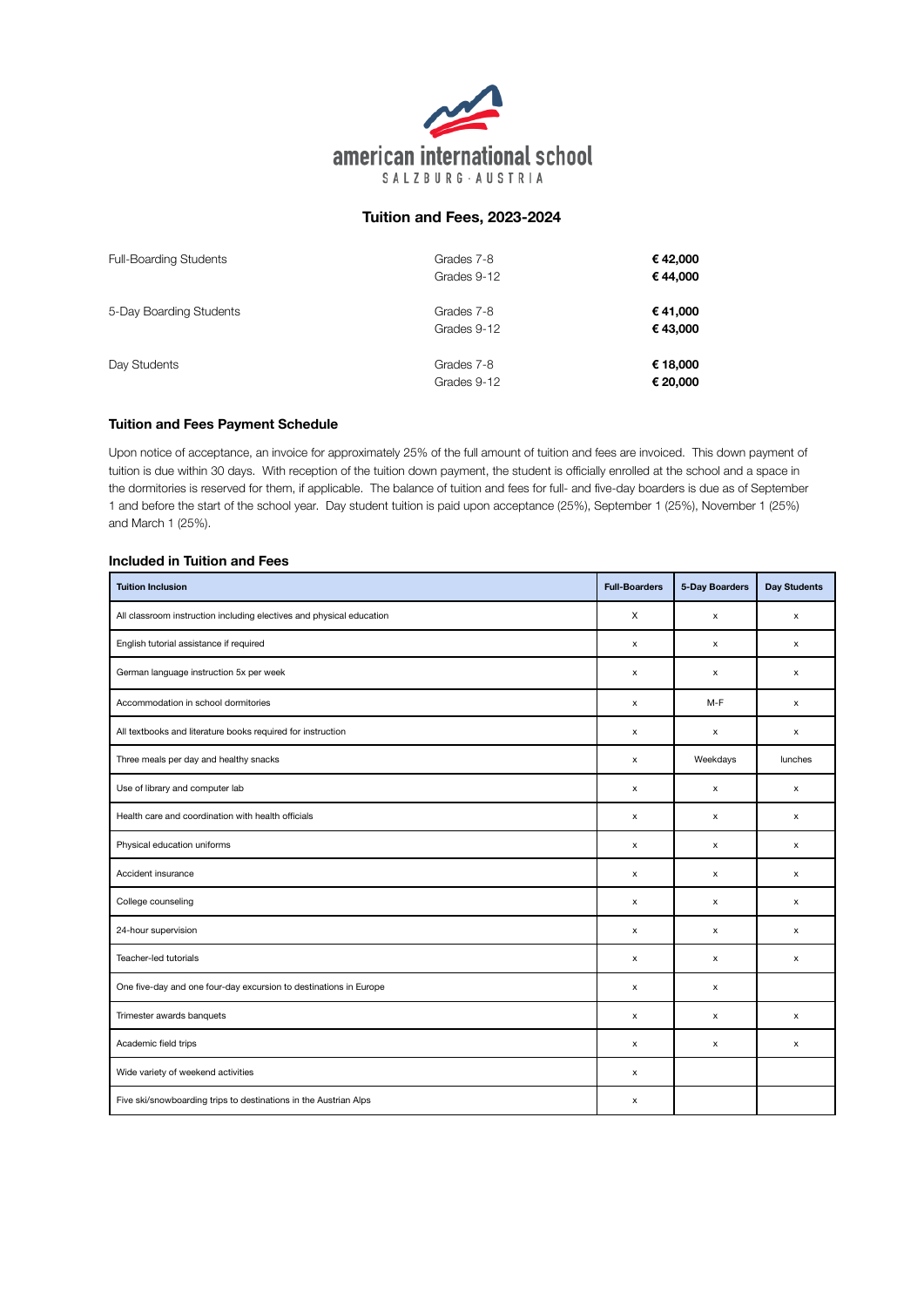

# **Tuition and Fees, 2023-2024**

| <b>Full-Boarding Students</b> | Grades 7-8<br>Grades 9-12 | €42,000<br>€44,000   |  |
|-------------------------------|---------------------------|----------------------|--|
| 5-Day Boarding Students       | Grades 7-8<br>Grades 9-12 | €41,000<br>€43,000   |  |
| Day Students                  | Grades 7-8<br>Grades 9-12 | € 18,000<br>€ 20,000 |  |

# **Tuition and Fees Payment Schedule**

Upon notice of acceptance, an invoice for approximately 25% of the full amount of tuition and fees are invoiced. This down payment of tuition is due within 30 days. With reception of the tuition down payment, the student is officially enrolled at the school and a space in the dormitories is reserved for them, if applicable. The balance of tuition and fees for full- and five-day boarders is due as of September 1 and before the start of the school year. Day student tuition is paid upon acceptance (25%), September 1 (25%), November 1 (25%) and March 1 (25%).

### **Included in Tuition and Fees**

| <b>Tuition Inclusion</b>                                             | <b>Full-Boarders</b> | 5-Day Boarders | <b>Day Students</b> |
|----------------------------------------------------------------------|----------------------|----------------|---------------------|
| All classroom instruction including electives and physical education | X                    | x              | x                   |
| English tutorial assistance if required                              | x                    | x              | x                   |
| German language instruction 5x per week                              | x                    | х              | х                   |
| Accommodation in school dormitories                                  | x                    | $M-F$          | х                   |
| All textbooks and literature books required for instruction          | x                    | x              | x                   |
| Three meals per day and healthy snacks                               | x                    | Weekdays       | lunches             |
| Use of library and computer lab                                      | x                    | $\mathsf{x}$   | $\mathsf{x}$        |
| Health care and coordination with health officials                   | x                    | $\mathsf{x}$   | X                   |
| Physical education uniforms                                          | x                    | x              | X                   |
| Accident insurance                                                   | x                    | x              | x                   |
| College counseling                                                   | x                    | x              | X                   |
| 24-hour supervision                                                  | x                    | $\mathsf{x}$   | X                   |
| Teacher-led tutorials                                                | x                    | x              | x                   |
| One five-day and one four-day excursion to destinations in Europe    | x                    | x              |                     |
| Trimester awards banquets                                            | x                    | х              | x                   |
| Academic field trips                                                 | x                    | x              | x                   |
| Wide variety of weekend activities                                   | x                    |                |                     |
| Five ski/snowboarding trips to destinations in the Austrian Alps     | x                    |                |                     |